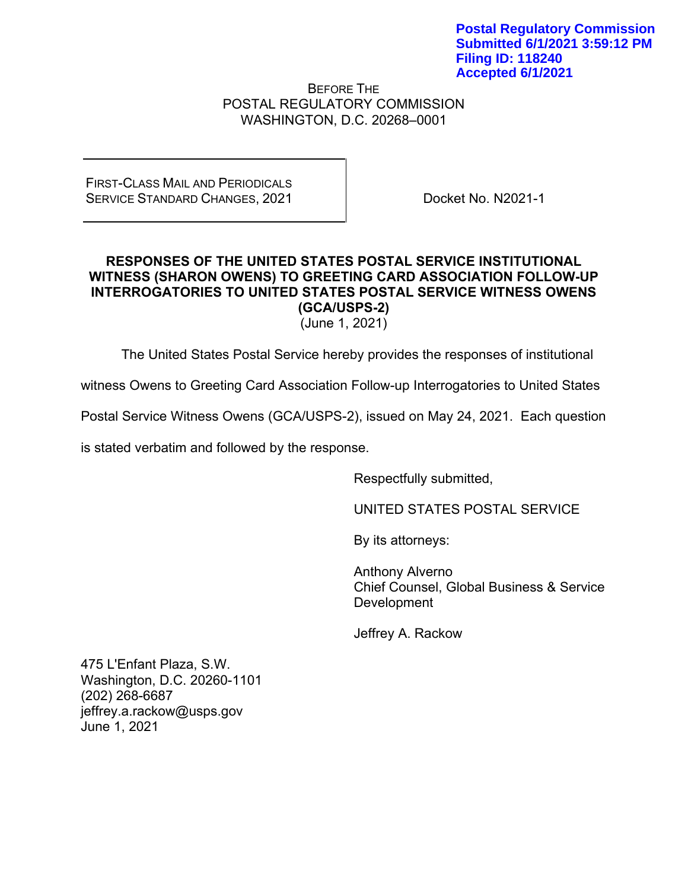BEFORE THE POSTAL REGULATORY COMMISSION WASHINGTON, D.C. 20268–0001

FIRST-CLASS MAIL AND PERIODICALS SERVICE STANDARD CHANGES, 2021

Docket No. N2021-1

## **RESPONSES OF THE UNITED STATES POSTAL SERVICE INSTITUTIONAL WITNESS (SHARON OWENS) TO GREETING CARD ASSOCIATION FOLLOW-UP INTERROGATORIES TO UNITED STATES POSTAL SERVICE WITNESS OWENS (GCA/USPS-2)**

(June 1, 2021)

The United States Postal Service hereby provides the responses of institutional

witness Owens to Greeting Card Association Follow-up Interrogatories to United States

Postal Service Witness Owens (GCA/USPS-2), issued on May 24, 2021. Each question

is stated verbatim and followed by the response.

Respectfully submitted,

UNITED STATES POSTAL SERVICE

By its attorneys:

Anthony Alverno Chief Counsel, Global Business & Service Development

Jeffrey A. Rackow

475 L'Enfant Plaza, S.W. Washington, D.C. 20260-1101 (202) 268-6687 jeffrey.a.rackow@usps.gov June 1, 2021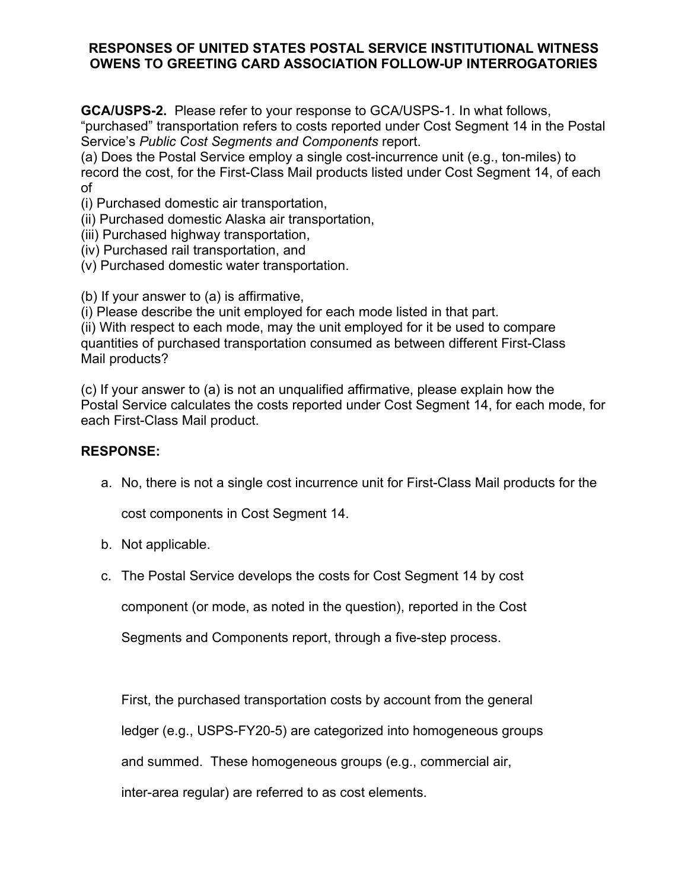## **RESPONSES OF UNITED STATES POSTAL SERVICE INSTITUTIONAL WITNESS OWENS TO GREETING CARD ASSOCIATION FOLLOW-UP INTERROGATORIES**

**GCA/USPS-2.** Please refer to your response to GCA/USPS-1. In what follows, "purchased" transportation refers to costs reported under Cost Segment 14 in the Postal Service's *Public Cost Segments and Components* report.

(a) Does the Postal Service employ a single cost-incurrence unit (e.g., ton-miles) to record the cost, for the First-Class Mail products listed under Cost Segment 14, of each of

(i) Purchased domestic air transportation,

(ii) Purchased domestic Alaska air transportation,

(iii) Purchased highway transportation,

(iv) Purchased rail transportation, and

(v) Purchased domestic water transportation.

(b) If your answer to (a) is affirmative,

(i) Please describe the unit employed for each mode listed in that part.

(ii) With respect to each mode, may the unit employed for it be used to compare quantities of purchased transportation consumed as between different First-Class Mail products?

(c) If your answer to (a) is not an unqualified affirmative, please explain how the Postal Service calculates the costs reported under Cost Segment 14, for each mode, for each First-Class Mail product.

# **RESPONSE:**

a. No, there is not a single cost incurrence unit for First-Class Mail products for the

cost components in Cost Segment 14.

- b. Not applicable.
- c. The Postal Service develops the costs for Cost Segment 14 by cost

component (or mode, as noted in the question), reported in the Cost

Segments and Components report, through a five-step process.

First, the purchased transportation costs by account from the general

ledger (e.g., USPS-FY20-5) are categorized into homogeneous groups

and summed. These homogeneous groups (e.g., commercial air,

inter-area regular) are referred to as cost elements.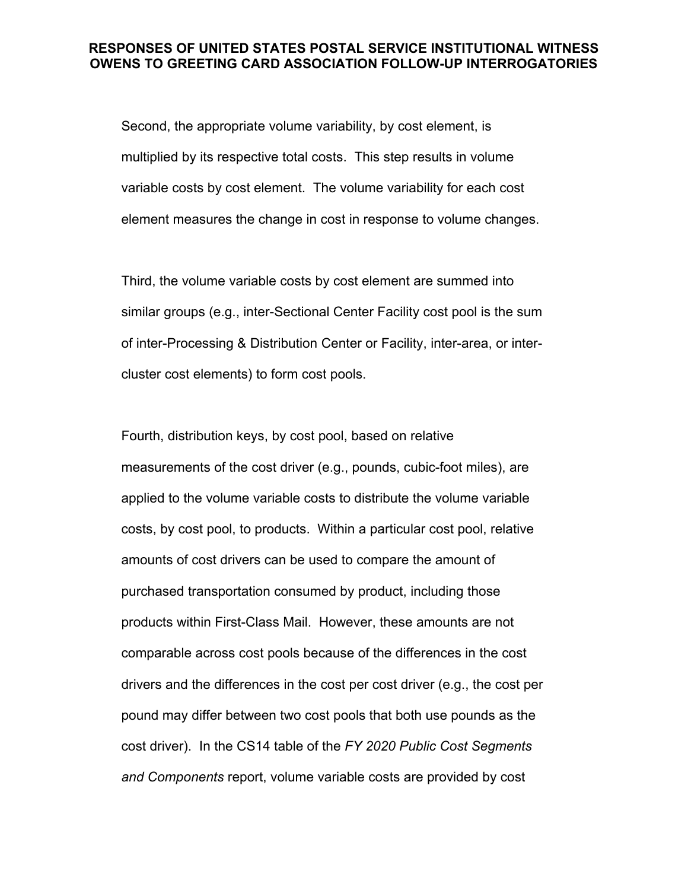#### **RESPONSES OF UNITED STATES POSTAL SERVICE INSTITUTIONAL WITNESS OWENS TO GREETING CARD ASSOCIATION FOLLOW-UP INTERROGATORIES**

Second, the appropriate volume variability, by cost element, is multiplied by its respective total costs. This step results in volume variable costs by cost element. The volume variability for each cost element measures the change in cost in response to volume changes.

Third, the volume variable costs by cost element are summed into similar groups (e.g., inter-Sectional Center Facility cost pool is the sum of inter-Processing & Distribution Center or Facility, inter-area, or intercluster cost elements) to form cost pools.

Fourth, distribution keys, by cost pool, based on relative measurements of the cost driver (e.g., pounds, cubic-foot miles), are applied to the volume variable costs to distribute the volume variable costs, by cost pool, to products. Within a particular cost pool, relative amounts of cost drivers can be used to compare the amount of purchased transportation consumed by product, including those products within First-Class Mail. However, these amounts are not comparable across cost pools because of the differences in the cost drivers and the differences in the cost per cost driver (e.g., the cost per pound may differ between two cost pools that both use pounds as the cost driver). In the CS14 table of the *FY 2020 Public Cost Segments and Components* report, volume variable costs are provided by cost